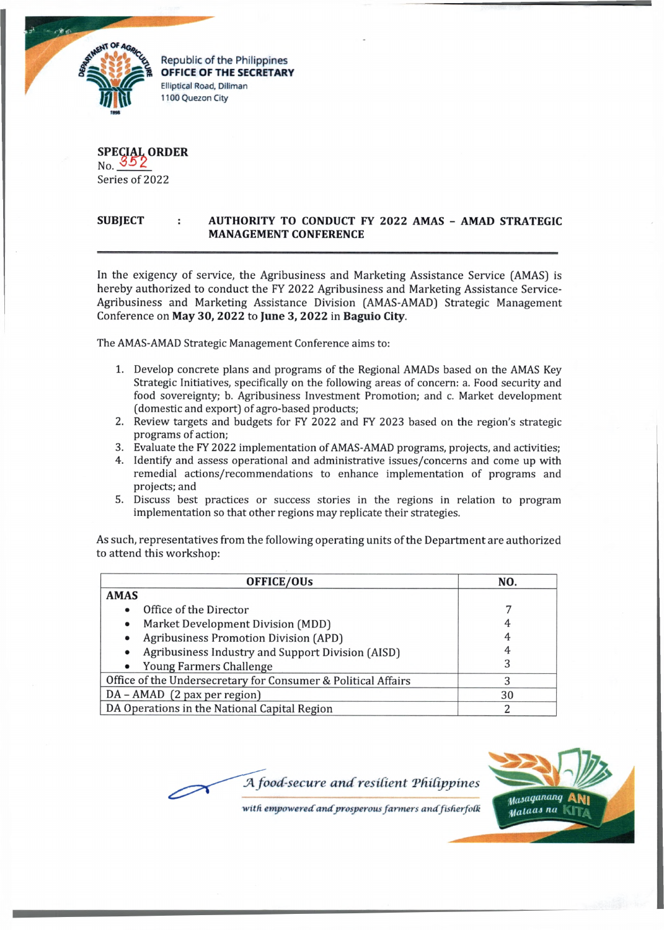

**OFFICE OF THE SECRETARY** Elliptical Road, Diliman 1100 Quezon City

SPECIAL ORDER<br>No. 352 Series of 2022

## **SUBJECT : AUTHORITY TO CONDUCT FY 2022 AMAS - AMAD STRATEGIC MANAGEMENT CONFERENCE**

In the exigency of service, the Agribusiness and Marketing Assistance Service (AMAS) is hereby authorized to conduct the FY 2022 Agribusiness and Marketing Assistance Service-Agribusiness and Marketing Assistance Division (AMAS-AMAD) Strategic Management Conference on **May 30, 2022** to **June 3, 2022** in **Baguio City.**

The AMAS-AMAD Strategic Management Conference aims to:

- 1. Develop concrete plans and programs of the Regional AMADs based on the AMAS Key Strategic Initiatives, specifically on the following areas of concern: a. Food security and food sovereignty; b. Agribusiness Investment Promotion; and c. Market development (domestic and export) of agro-based products;
- 2. Review targets and budgets for FY 2022 and FY 2023 based on the region's strategic programs of action;
- 3. Evaluate the FY 2022 implementation of AMAS-AMAD programs, projects, and activities;
- 4. Identify and assess operational and administrative issues/concerns and come up with remedial actions/recommendations to enhance implementation of programs and projects; and
- 5. Discuss best practices or success stories in the regions in relation to program implementation so that other regions may replicate their strategies.

As such, representatives from the following operating units of the Department are authorized to attend this workshop:

| OFFICE/OUs                                                    | NO. |
|---------------------------------------------------------------|-----|
| <b>AMAS</b>                                                   |     |
| Office of the Director                                        |     |
| Market Development Division (MDD)<br>$\bullet$                |     |
| <b>Agribusiness Promotion Division (APD)</b><br>$\bullet$     |     |
| Agribusiness Industry and Support Division (AISD)             |     |
| Young Farmers Challenge                                       |     |
| Office of the Undersecretary for Consumer & Political Affairs | 3   |
| DA - AMAD (2 pax per region)                                  | 30  |
| DA Operations in the National Capital Region                  | 2   |





with empowered and prosperous farmers and fisherfolk